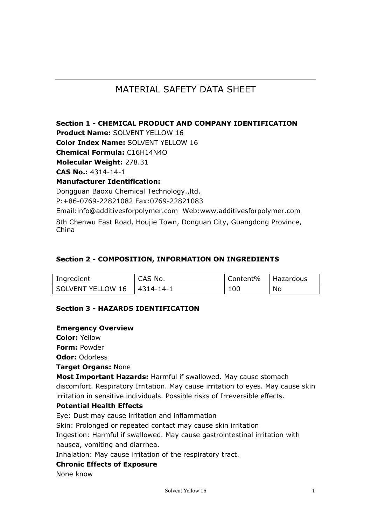# MATERIAL SAFETY DATA SHEET

**Section 1 - CHEMICAL PRODUCT AND COMPANY IDENTIFICATION Product Name:** SOLVENT YELLOW 16 **Color Index Name:** SOLVENT YELLOW 16 **Chemical Formula:** C16H14N4O **Molecular Weight:** 278.31 **CAS No.:** 4314-14-1 **Manufacturer Identification:** Dongguan Baoxu Chemical Technology.,ltd. P:+86-0769-22821082 Fax:0769-22821083 Email:info@additivesforpolymer.com Web:www.additivesforpolymer.com 8th Chenwu East Road, Houjie Town, Donguan City, Guangdong Province, China

#### **Section 2 - COMPOSITION, INFORMATION ON INGREDIENTS**

| Ingredient        | CAS No.   | Content% | Hazardous |
|-------------------|-----------|----------|-----------|
| SOLVENT YELLOW 16 | 4314-14-1 | 100      | No        |

### **Section 3 - HAZARDS IDENTIFICATION**

#### **Emergency Overview**

**Color:** Yellow

**Form:** Powder

**Odor:** Odorless

**Target Organs:** None

**Most Important Hazards:** Harmful if swallowed. May cause stomach discomfort. Respiratory Irritation. May cause irritation to eyes. May cause skin irritation in sensitive individuals. Possible risks of Irreversible effects.

### **Potential Health Effects**

Eye: Dust may cause irritation and inflammation

Skin: Prolonged or repeated contact may cause skin irritation

Ingestion: Harmful if swallowed. May cause gastrointestinal irritation with nausea, vomiting and diarrhea.

Inhalation: May cause irritation of the respiratory tract.

#### **Chronic Effects of Exposure**

None know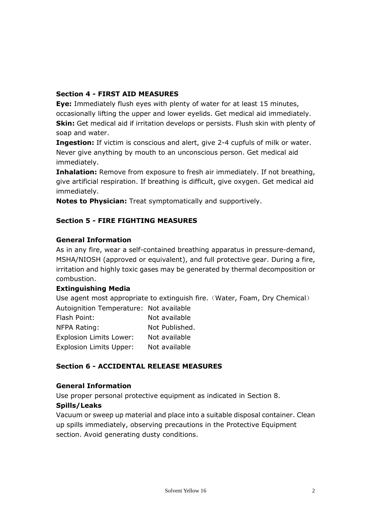# **Section 4 - FIRST AID MEASURES**

**Eye:** Immediately flush eyes with plenty of water for at least 15 minutes, occasionally lifting the upper and lower eyelids. Get medical aid immediately. **Skin:** Get medical aid if irritation develops or persists. Flush skin with plenty of soap and water.

**Ingestion:** If victim is conscious and alert, give 2-4 cupfuls of milk or water. Never give anything by mouth to an unconscious person. Get medical aid immediately.

**Inhalation:** Remove from exposure to fresh air immediately. If not breathing, give artificial respiration. If breathing is difficult, give oxygen. Get medical aid immediately.

**Notes to Physician:** Treat symptomatically and supportively.

# **Section 5 - FIRE FIGHTING MEASURES**

### **General Information**

As in any fire, wear a self-contained breathing apparatus in pressure-demand, MSHA/NIOSH (approved or equivalent), and full protective gear. During a fire, irritation and highly toxic gases may be generated by thermal decomposition or combustion.

### **Extinguishing Media**

Use agent most appropriate to extinguish fire. (Water, Foam, Dry Chemical) Autoignition Temperature: Not available Flash Point: Not available

| ivul avaliaulu |
|----------------|
| Not Published. |
| Not available  |
| Not available  |
|                |

# **Section 6 - ACCIDENTAL RELEASE MEASURES**

### **General Information**

Use proper personal protective equipment as indicated in Section 8.

### **Spills/Leaks**

Vacuum or sweep up material and place into a suitable disposal container. Clean up spills immediately, observing precautions in the Protective Equipment section. Avoid generating dusty conditions.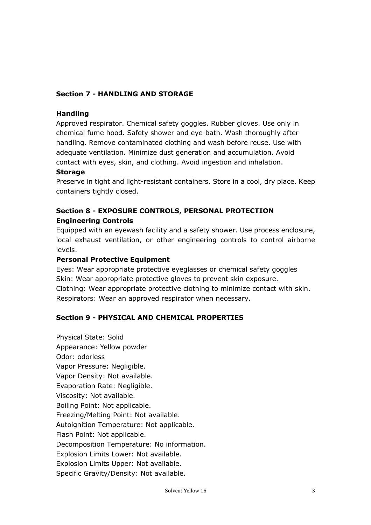# **Section 7 - HANDLING AND STORAGE**

#### **Handling**

Approved respirator. Chemical safety goggles. Rubber gloves. Use only in chemical fume hood. Safety shower and eye-bath. Wash thoroughly after handling. Remove contaminated clothing and wash before reuse. Use with adequate ventilation. Minimize dust generation and accumulation. Avoid contact with eyes, skin, and clothing. Avoid ingestion and inhalation.

#### **Storage**

Preserve in tight and light-resistant containers. Store in a cool, dry place. Keep containers tightly closed.

# **Section 8 - EXPOSURE CONTROLS, PERSONAL PROTECTION Engineering Controls**

Equipped with an eyewash facility and a safety shower. Use process enclosure, local exhaust ventilation, or other engineering controls to control airborne levels.

#### **Personal Protective Equipment**

Eyes: Wear appropriate protective eyeglasses or chemical safety goggles Skin: Wear appropriate protective gloves to prevent skin exposure. Clothing: Wear appropriate protective clothing to minimize contact with skin. Respirators: Wear an approved respirator when necessary.

### **Section 9 - PHYSICAL AND CHEMICAL PROPERTIES**

Physical State: Solid Appearance: Yellow powder Odor: odorless Vapor Pressure: Negligible. Vapor Density: Not available. Evaporation Rate: Negligible. Viscosity: Not available. Boiling Point: Not applicable. Freezing/Melting Point: Not available. Autoignition Temperature: Not applicable. Flash Point: Not applicable. Decomposition Temperature: No information. Explosion Limits Lower: Not available. Explosion Limits Upper: Not available. Specific Gravity/Density: Not available.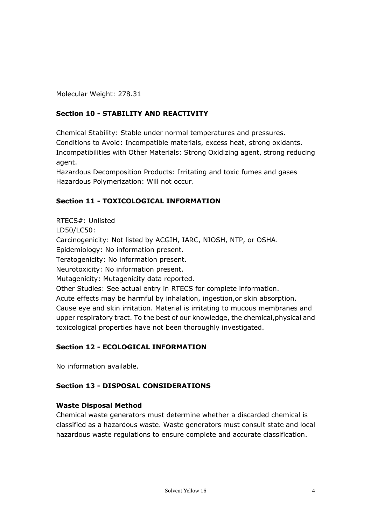Molecular Weight: 278.31

# **Section 10 - STABILITY AND REACTIVITY**

Chemical Stability: Stable under normal temperatures and pressures. Conditions to Avoid: Incompatible materials, excess heat, strong oxidants. Incompatibilities with Other Materials: Strong Oxidizing agent, strong reducing agent.

Hazardous Decomposition Products: Irritating and toxic fumes and gases Hazardous Polymerization: Will not occur.

# **Section 11 - TOXICOLOGICAL INFORMATION**

RTECS#: Unlisted LD50/LC50: Carcinogenicity: Not listed by ACGIH, IARC, NIOSH, NTP, or OSHA. Epidemiology: No information present. Teratogenicity: No information present. Neurotoxicity: No information present. Mutagenicity: Mutagenicity data reported. Other Studies: See actual entry in RTECS for complete information. Acute effects may be harmful by inhalation, ingestion,or skin absorption. Cause eye and skin irritation. Material is irritating to mucous membranes and upper respiratory tract. To the best of our knowledge, the chemical,physical and toxicological properties have not been thoroughly investigated.

# **Section 12 - ECOLOGICAL INFORMATION**

No information available.

# **Section 13 - DISPOSAL CONSIDERATIONS**

### **Waste Disposal Method**

Chemical waste generators must determine whether a discarded chemical is classified as a hazardous waste. Waste generators must consult state and local hazardous waste regulations to ensure complete and accurate classification.